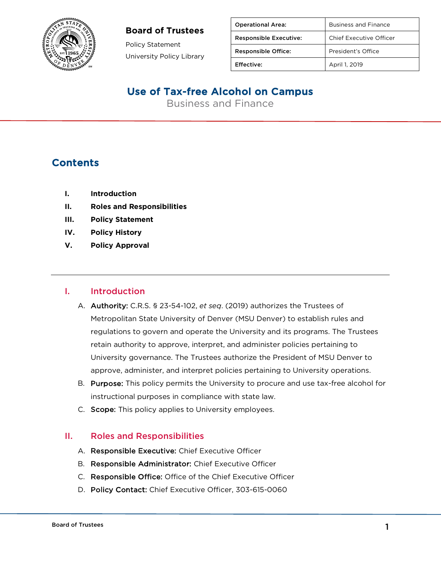#### **Board of Trustees**



Policy Statement University Policy Library

| <b>Operational Area:</b>      | <b>Business and Finance</b> |
|-------------------------------|-----------------------------|
| <b>Responsible Executive:</b> | Chief Executive Officer     |
| <b>Responsible Office:</b>    | President's Office          |
| <b>Effective:</b>             | April 1, 2019               |

# Use of Tax-free Alcohol on Campus

Business and Finance

### **Contents**

- **I. Introduction**
- **II. Roles and Responsibilities**
- **III. Policy Statement**
- **IV. Policy History**
- **V. Policy Approval**

#### I. Introduction

- A. Authority: C.R.S. § 23-54-102, *et seq*. (2019) authorizes the Trustees of Metropolitan State University of Denver (MSU Denver) to establish rules and regulations to govern and operate the University and its programs. The Trustees retain authority to approve, interpret, and administer policies pertaining to University governance. The Trustees authorize the President of MSU Denver to approve, administer, and interpret policies pertaining to University operations.
- B. Purpose: This policy permits the University to procure and use tax-free alcohol for instructional purposes in compliance with state law.
- C. Scope: This policy applies to University employees.

#### II. Roles and Responsibilities

- A. Responsible Executive: Chief Executive Officer
- B. Responsible Administrator: Chief Executive Officer
- C. Responsible Office: Office of the Chief Executive Officer
- D. Policy Contact: Chief Executive Officer, 303-615-0060